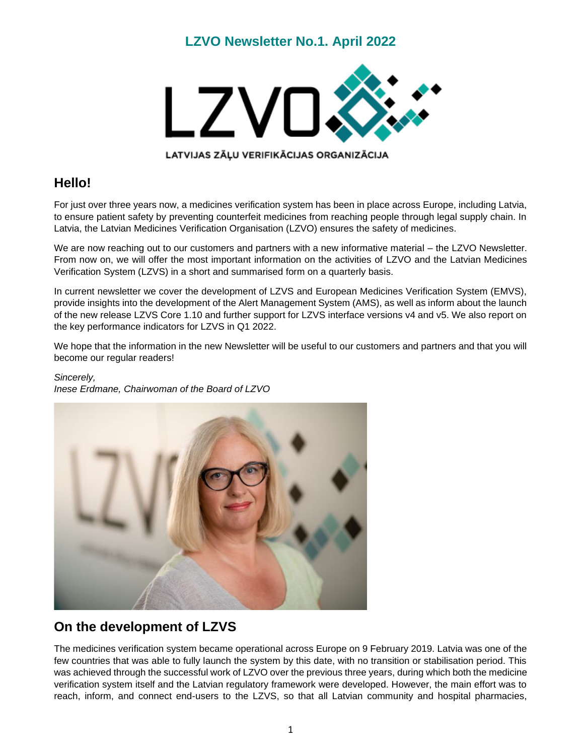### **LZVO Newsletter No.1. April 2022**



#### LATVIJAS ZĀĻU VERIFIKĀCIJAS ORGANIZĀCIJA

# **Hello!**

For just over three years now, a medicines verification system has been in place across Europe, including Latvia, to ensure patient safety by preventing counterfeit medicines from reaching people through legal supply chain. In Latvia, the Latvian Medicines Verification Organisation (LZVO) ensures the safety of medicines.

We are now reaching out to our customers and partners with a new informative material – the LZVO Newsletter. From now on, we will offer the most important information on the activities of LZVO and the Latvian Medicines Verification System (LZVS) in a short and summarised form on a quarterly basis.

In current newsletter we cover the development of LZVS and European Medicines Verification System (EMVS), provide insights into the development of the Alert Management System (AMS), as well as inform about the launch of the new release LZVS Core 1.10 and further support for LZVS interface versions v4 and v5. We also report on the key performance indicators for LZVS in Q1 2022.

We hope that the information in the new Newsletter will be useful to our customers and partners and that you will become our regular readers!

#### *Sincerely, Inese Erdmane, Chairwoman of the Board of LZVO*



#### **On the development of LZVS**

The medicines verification system became operational across Europe on 9 February 2019. Latvia was one of the few countries that was able to fully launch the system by this date, with no transition or stabilisation period. This was achieved through the successful work of LZVO over the previous three years, during which both the medicine verification system itself and the Latvian regulatory framework were developed. However, the main effort was to reach, inform, and connect end-users to the LZVS, so that all Latvian community and hospital pharmacies,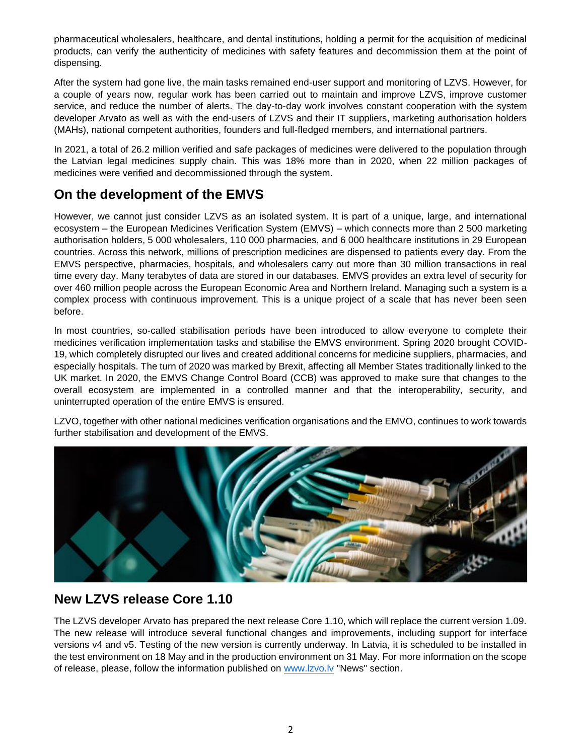pharmaceutical wholesalers, healthcare, and dental institutions, holding a permit for the acquisition of medicinal products, can verify the authenticity of medicines with safety features and decommission them at the point of dispensing.

After the system had gone live, the main tasks remained end-user support and monitoring of LZVS. However, for a couple of years now, regular work has been carried out to maintain and improve LZVS, improve customer service, and reduce the number of alerts. The day-to-day work involves constant cooperation with the system developer Arvato as well as with the end-users of LZVS and their IT suppliers, marketing authorisation holders (MAHs), national competent authorities, founders and full-fledged members, and international partners.

In 2021, a total of 26.2 million verified and safe packages of medicines were delivered to the population through the Latvian legal medicines supply chain. This was 18% more than in 2020, when 22 million packages of medicines were verified and decommissioned through the system.

# **On the development of the EMVS**

However, we cannot just consider LZVS as an isolated system. It is part of a unique, large, and international ecosystem – the European Medicines Verification System (EMVS) – which connects more than 2 500 marketing authorisation holders, 5 000 wholesalers, 110 000 pharmacies, and 6 000 healthcare institutions in 29 European countries. Across this network, millions of prescription medicines are dispensed to patients every day. From the EMVS perspective, pharmacies, hospitals, and wholesalers carry out more than 30 million transactions in real time every day. Many terabytes of data are stored in our databases. EMVS provides an extra level of security for over 460 million people across the European Economic Area and Northern Ireland. Managing such a system is a complex process with continuous improvement. This is a unique project of a scale that has never been seen before.

In most countries, so-called stabilisation periods have been introduced to allow everyone to complete their medicines verification implementation tasks and stabilise the EMVS environment. Spring 2020 brought COVID-19, which completely disrupted our lives and created additional concerns for medicine suppliers, pharmacies, and especially hospitals. The turn of 2020 was marked by Brexit, affecting all Member States traditionally linked to the UK market. In 2020, the EMVS Change Control Board (CCB) was approved to make sure that changes to the overall ecosystem are implemented in a controlled manner and that the interoperability, security, and uninterrupted operation of the entire EMVS is ensured.

LZVO, together with other national medicines verification organisations and the EMVO, continues to work towards further stabilisation and development of the EMVS.



### **New LZVS release Core 1.10**

The LZVS developer Arvato has prepared the next release Core 1.10, which will replace the current version 1.09. The new release will introduce several functional changes and improvements, including support for interface versions v4 and v5. Testing of the new version is currently underway. In Latvia, it is scheduled to be installed in the test environment on 18 May and in the production environment on 31 May. For more information on the scope of release, please, follow the information published on [www.lzvo.lv](http://www.lzvo.lv/) "News" section.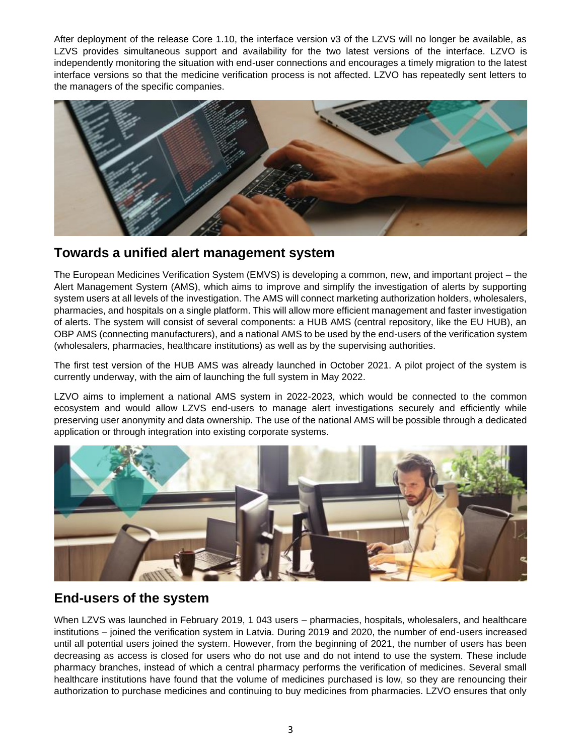After deployment of the release Core 1.10, the interface version v3 of the LZVS will no longer be available, as LZVS provides simultaneous support and availability for the two latest versions of the interface. LZVO is independently monitoring the situation with end-user connections and encourages a timely migration to the latest interface versions so that the medicine verification process is not affected. LZVO has repeatedly sent letters to the managers of the specific companies.



#### **Towards a unified alert management system**

The European Medicines Verification System (EMVS) is developing a common, new, and important project – the Alert Management System (AMS), which aims to improve and simplify the investigation of alerts by supporting system users at all levels of the investigation. The AMS will connect marketing authorization holders, wholesalers, pharmacies, and hospitals on a single platform. This will allow more efficient management and faster investigation of alerts. The system will consist of several components: a HUB AMS (central repository, like the EU HUB), an OBP AMS (connecting manufacturers), and a national AMS to be used by the end-users of the verification system (wholesalers, pharmacies, healthcare institutions) as well as by the supervising authorities.

The first test version of the HUB AMS was already launched in October 2021. A pilot project of the system is currently underway, with the aim of launching the full system in May 2022.

LZVO aims to implement a national AMS system in 2022-2023, which would be connected to the common ecosystem and would allow LZVS end-users to manage alert investigations securely and efficiently while preserving user anonymity and data ownership. The use of the national AMS will be possible through a dedicated application or through integration into existing corporate systems.



### **End-users of the system**

When LZVS was launched in February 2019, 1 043 users – pharmacies, hospitals, wholesalers, and healthcare institutions – joined the verification system in Latvia. During 2019 and 2020, the number of end-users increased until all potential users joined the system. However, from the beginning of 2021, the number of users has been decreasing as access is closed for users who do not use and do not intend to use the system. These include pharmacy branches, instead of which a central pharmacy performs the verification of medicines. Several small healthcare institutions have found that the volume of medicines purchased is low, so they are renouncing their authorization to purchase medicines and continuing to buy medicines from pharmacies. LZVO ensures that only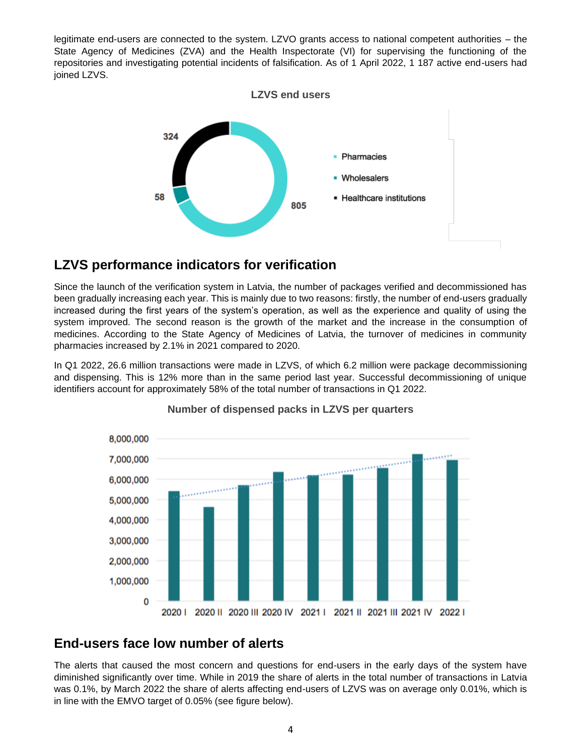legitimate end-users are connected to the system. LZVO grants access to national competent authorities – the State Agency of Medicines (ZVA) and the Health Inspectorate (VI) for supervising the functioning of the repositories and investigating potential incidents of falsification. As of 1 April 2022, 1 187 active end-users had joined LZVS.



# **LZVS performance indicators for verification**

Since the launch of the verification system in Latvia, the number of packages verified and decommissioned has been gradually increasing each year. This is mainly due to two reasons: firstly, the number of end-users gradually increased during the first years of the system's operation, as well as the experience and quality of using the system improved. The second reason is the growth of the market and the increase in the consumption of medicines. According to the State Agency of Medicines of Latvia, the turnover of medicines in community pharmacies increased by 2.1% in 2021 compared to 2020.

In Q1 2022, 26.6 million transactions were made in LZVS, of which 6.2 million were package decommissioning and dispensing. This is 12% more than in the same period last year. Successful decommissioning of unique identifiers account for approximately 58% of the total number of transactions in Q1 2022.



#### **Number of dispensed packs in LZVS per quarters**

# **End-users face low number of alerts**

The alerts that caused the most concern and questions for end-users in the early days of the system have diminished significantly over time. While in 2019 the share of alerts in the total number of transactions in Latvia was 0.1%, by March 2022 the share of alerts affecting end-users of LZVS was on average only 0.01%, which is in line with the EMVO target of 0.05% (see figure below).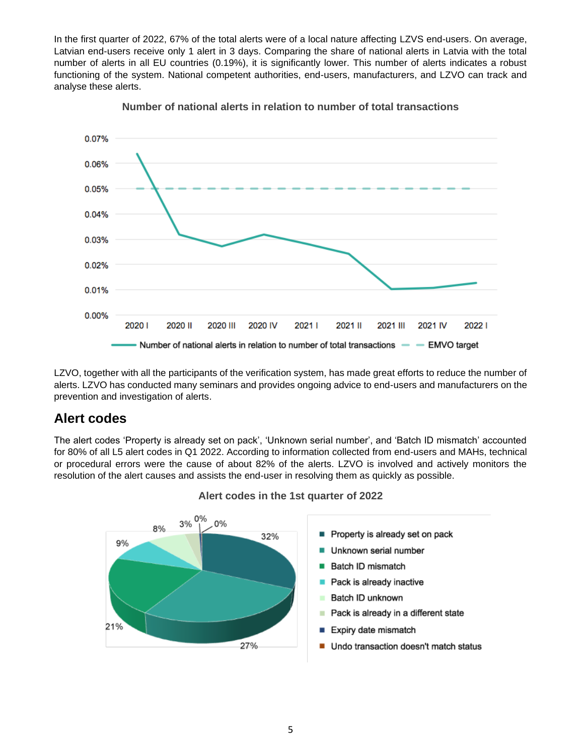In the first quarter of 2022, 67% of the total alerts were of a local nature affecting LZVS end-users. On average, Latvian end-users receive only 1 alert in 3 days. Comparing the share of national alerts in Latvia with the total number of alerts in all EU countries (0.19%), it is significantly lower. This number of alerts indicates a robust functioning of the system. National competent authorities, end-users, manufacturers, and LZVO can track and analyse these alerts.





LZVO, together with all the participants of the verification system, has made great efforts to reduce the number of alerts. LZVO has conducted many seminars and provides ongoing advice to end-users and manufacturers on the prevention and investigation of alerts.

#### **Alert codes**

The alert codes 'Property is already set on pack', 'Unknown serial number', and 'Batch ID mismatch' accounted for 80% of all L5 alert codes in Q1 2022. According to information collected from end-users and MAHs, technical or procedural errors were the cause of about 82% of the alerts. LZVO is involved and actively monitors the resolution of the alert causes and assists the end-user in resolving them as quickly as possible.



#### **Alert codes in the 1st quarter of 2022**